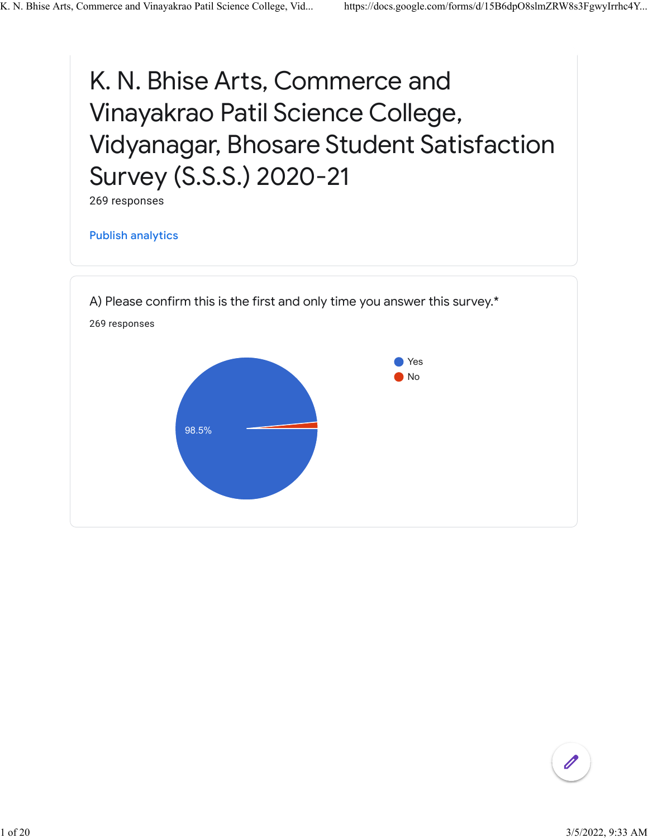## K. N. Bhise Arts, Commerce and Vinayakrao Patil Science College, Vidyanagar, Bhosare Student Satisfaction Survey (S.S.S.) 2020-21

269 responses

[Publish analytics](https://docs.google.com/forms/d/15B6dpO8slmZRW8s3FgwyIrrhc4YwwaVHpawJSZQb2Uo/edit?usp=redirect_edit_m2#start=publishanalytics)



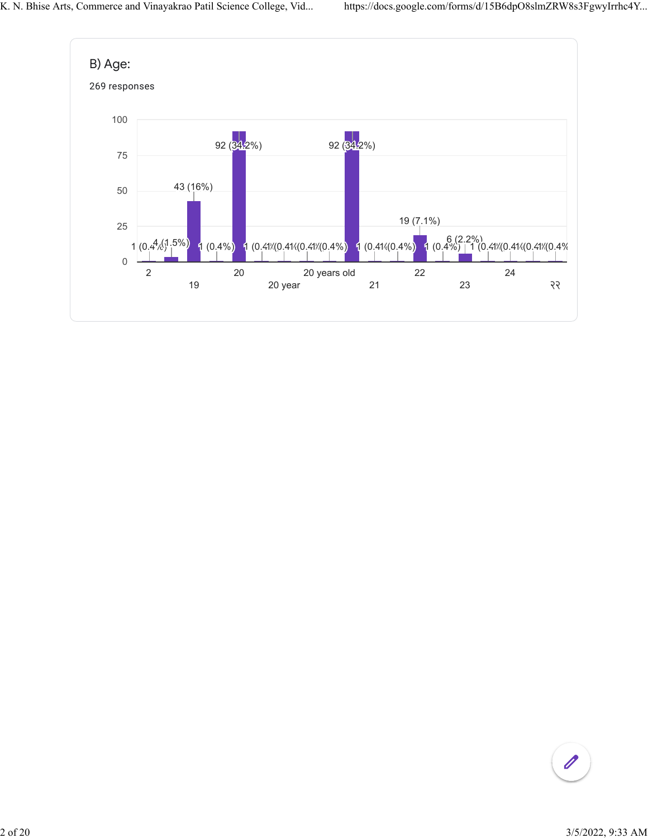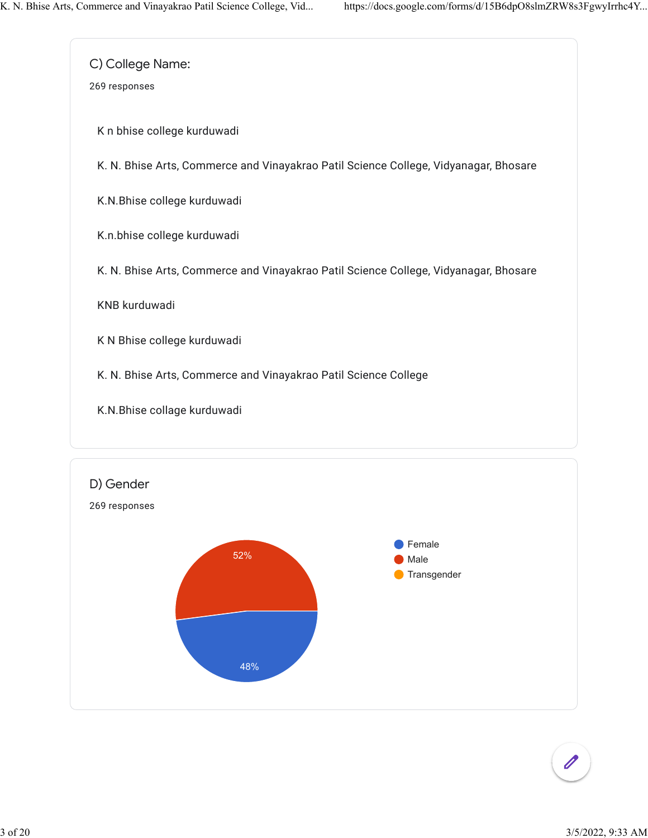



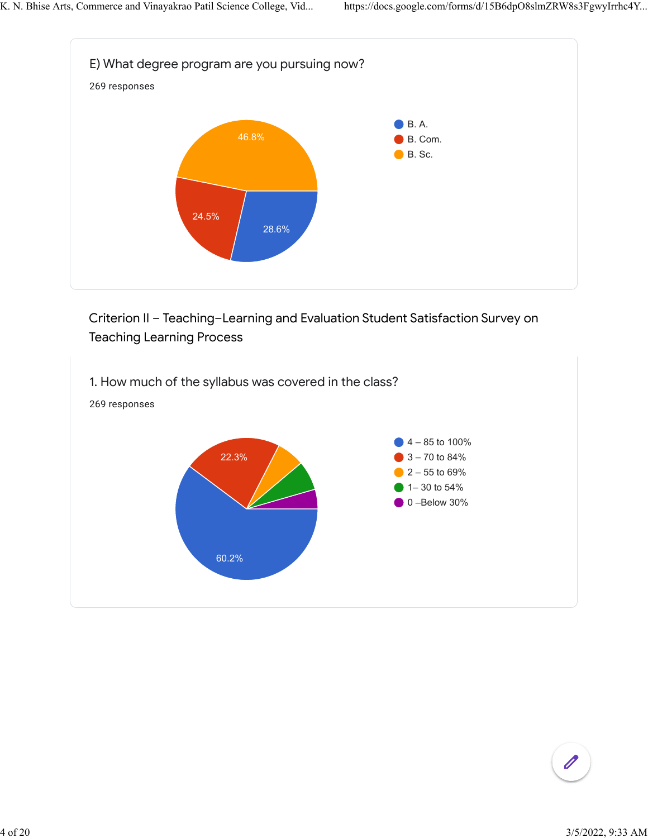

Criterion II – Teaching–Learning and Evaluation Student Satisfaction Survey on Teaching Learning Process



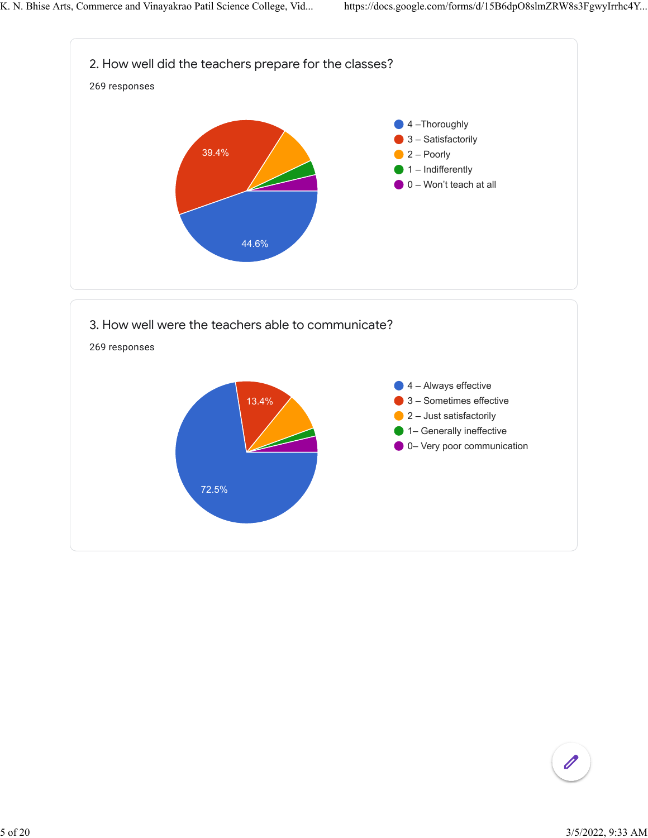

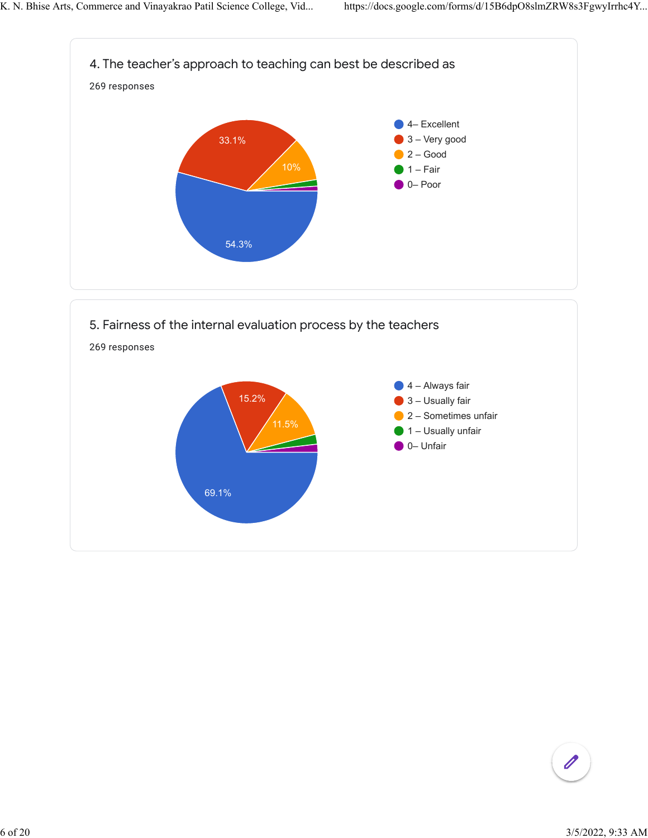

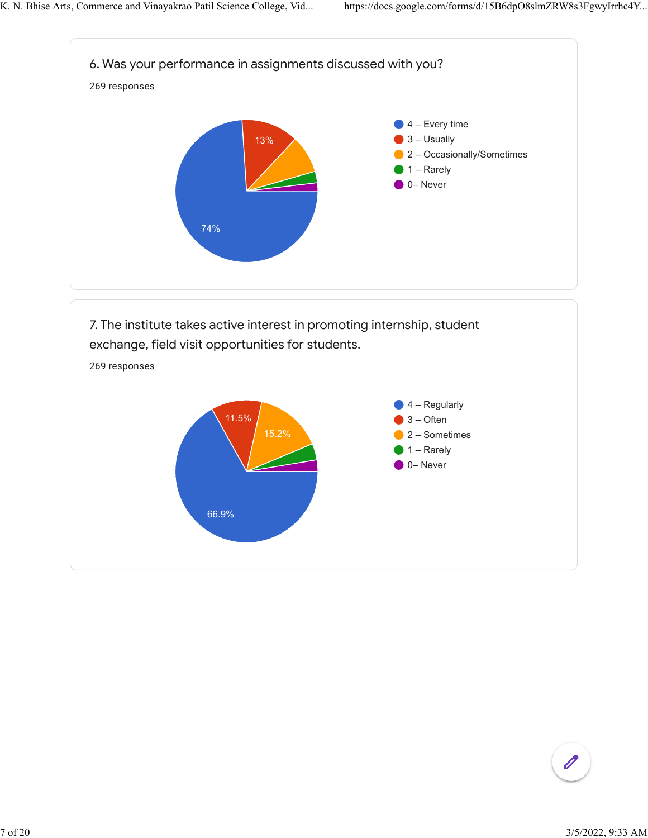

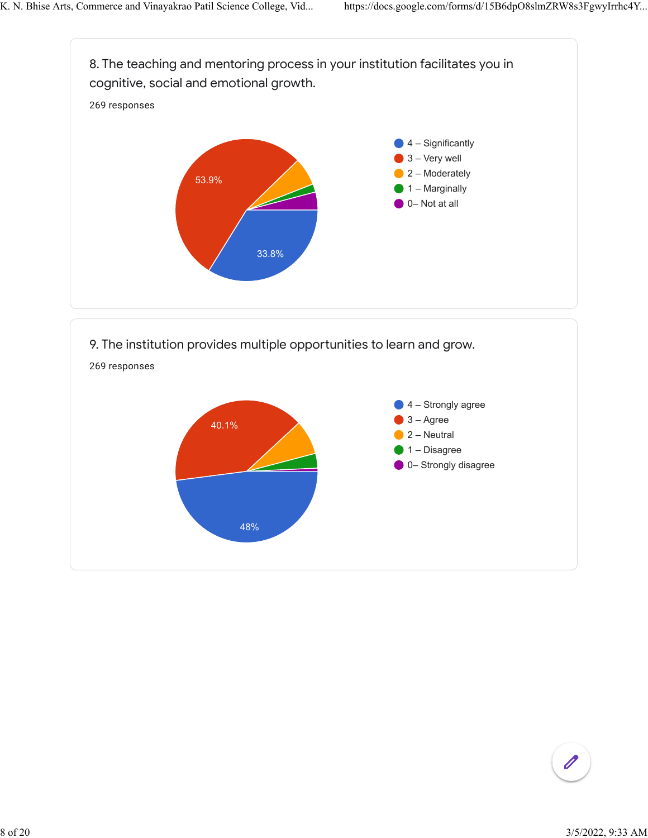



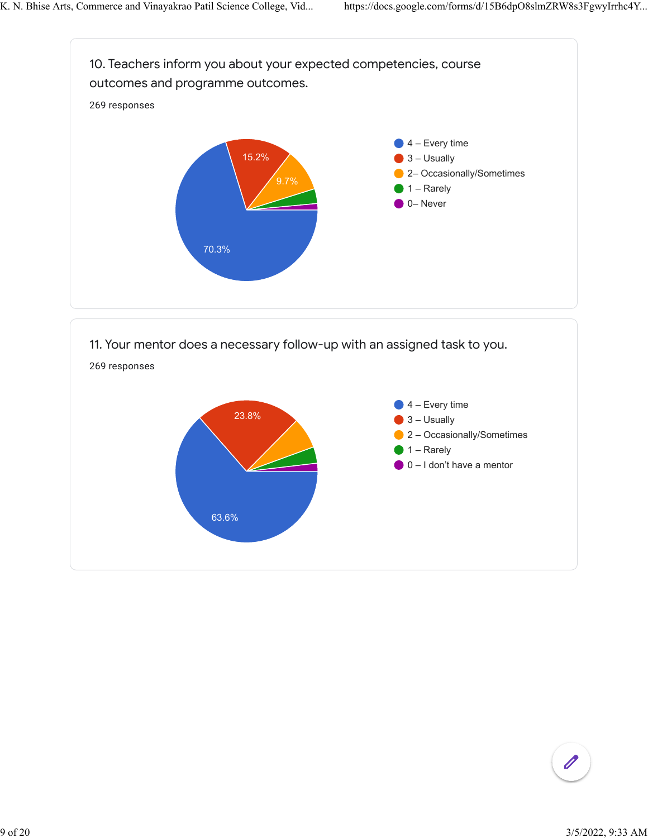



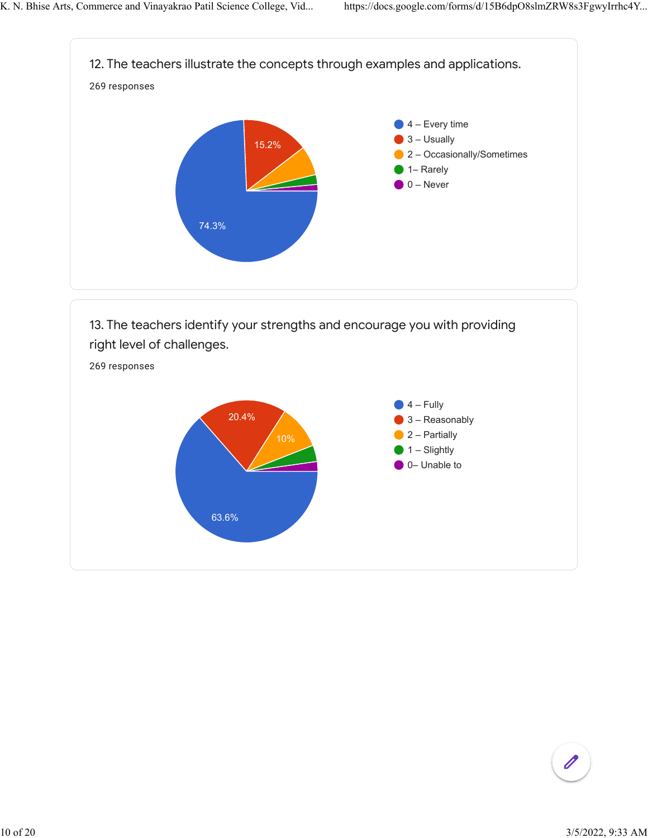

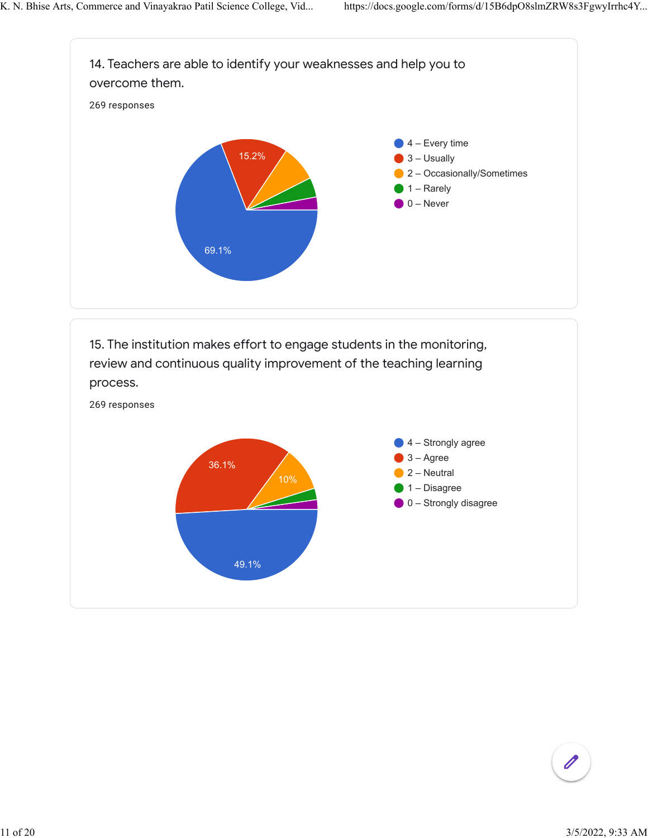

15. The institution makes effort to engage students in the monitoring, review and continuous quality improvement of the teaching learning process.



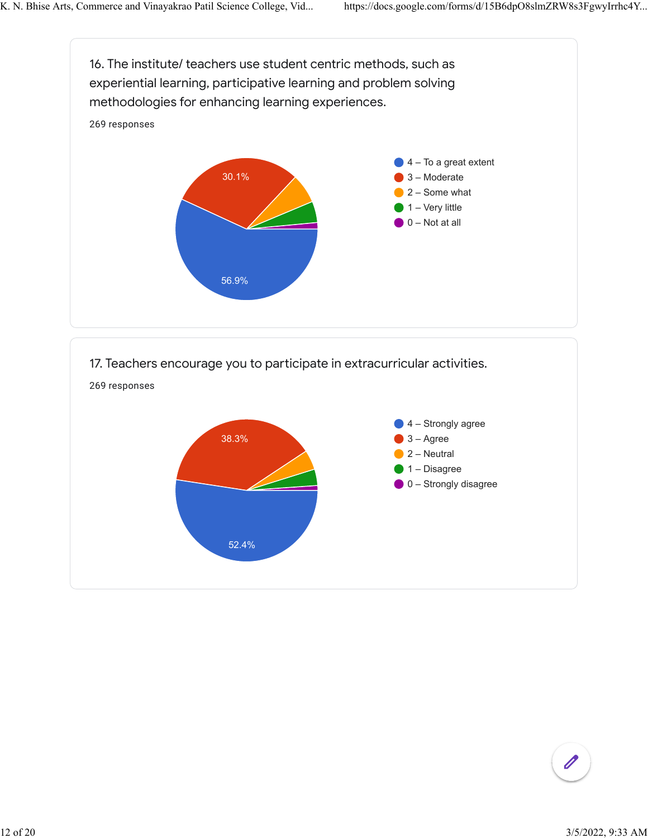





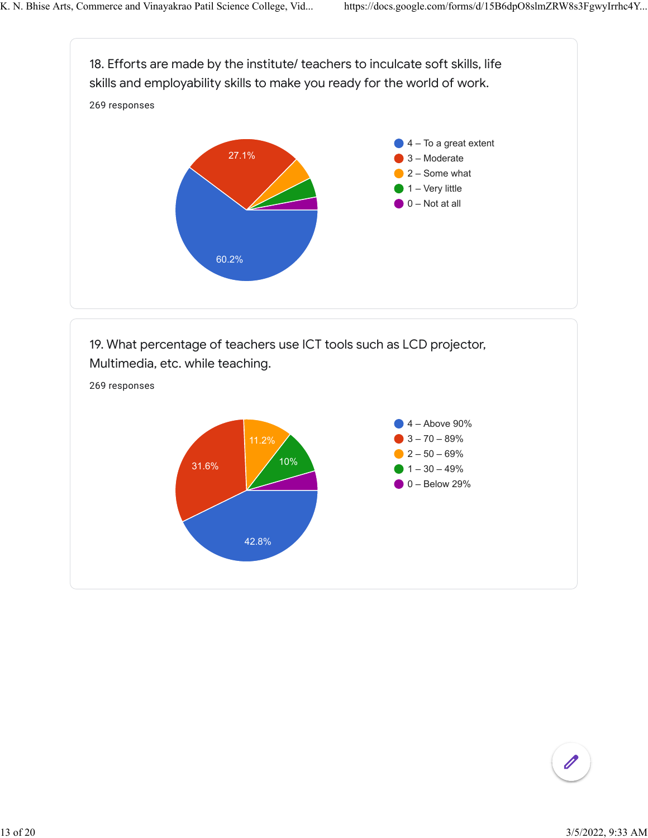



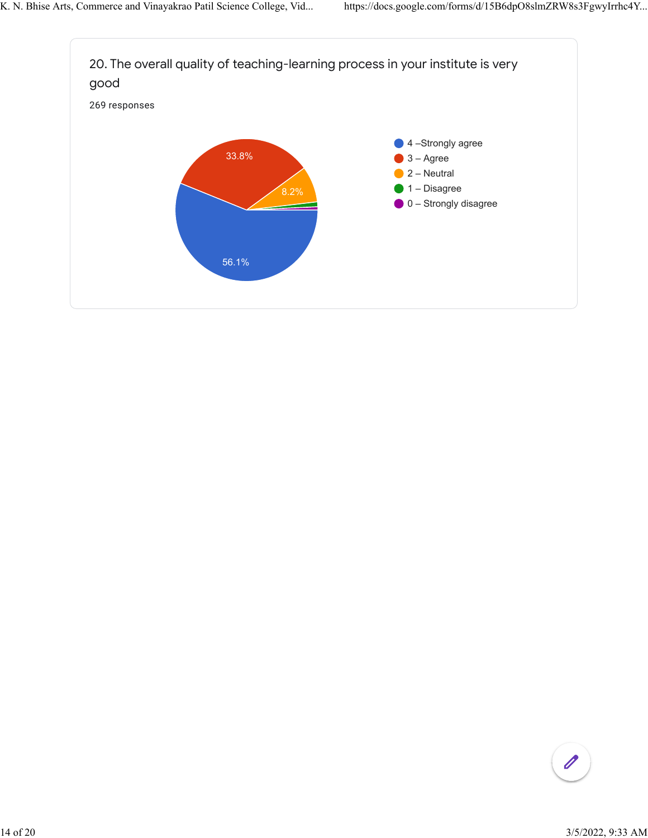

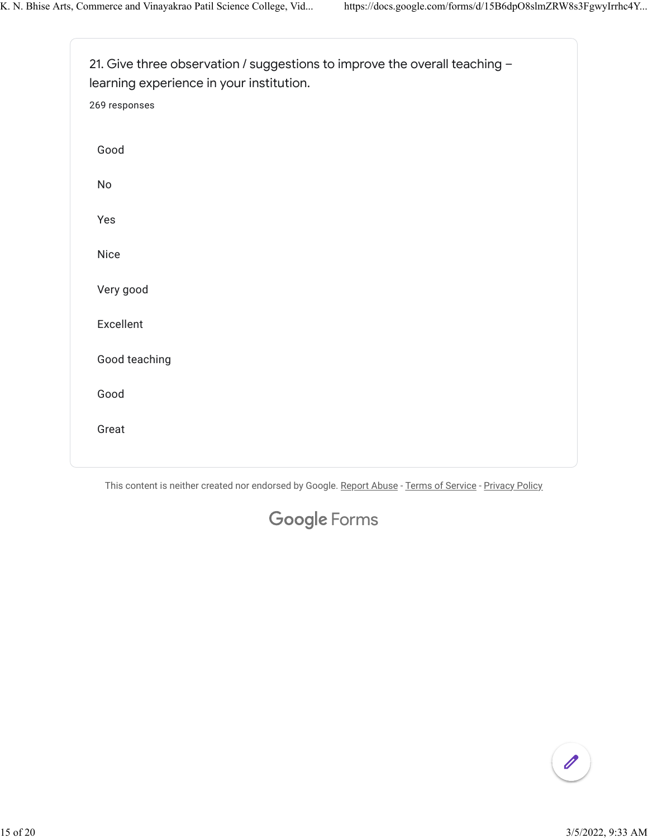| 21. Give three observation / suggestions to improve the overall teaching -<br>learning experience in your institution.<br>269 responses |
|-----------------------------------------------------------------------------------------------------------------------------------------|
| Good                                                                                                                                    |
| No                                                                                                                                      |
| Yes                                                                                                                                     |
| Nice                                                                                                                                    |
| Very good                                                                                                                               |
| Excellent                                                                                                                               |
| Good teaching                                                                                                                           |
| Good                                                                                                                                    |
| Great                                                                                                                                   |
|                                                                                                                                         |

This content is neither created nor endorsed by Google. [Report Abuse](https://docs.google.com/forms/d/15B6dpO8slmZRW8s3FgwyIrrhc4YwwaVHpawJSZQb2Uo/reportabuse) - [Terms of Service](https://policies.google.com/terms) - [Privacy Policy](https://policies.google.com/privacy)

## Google [Forms](https://www.google.com/forms/about/?utm_source=product&utm_medium=forms_logo&utm_campaign=forms)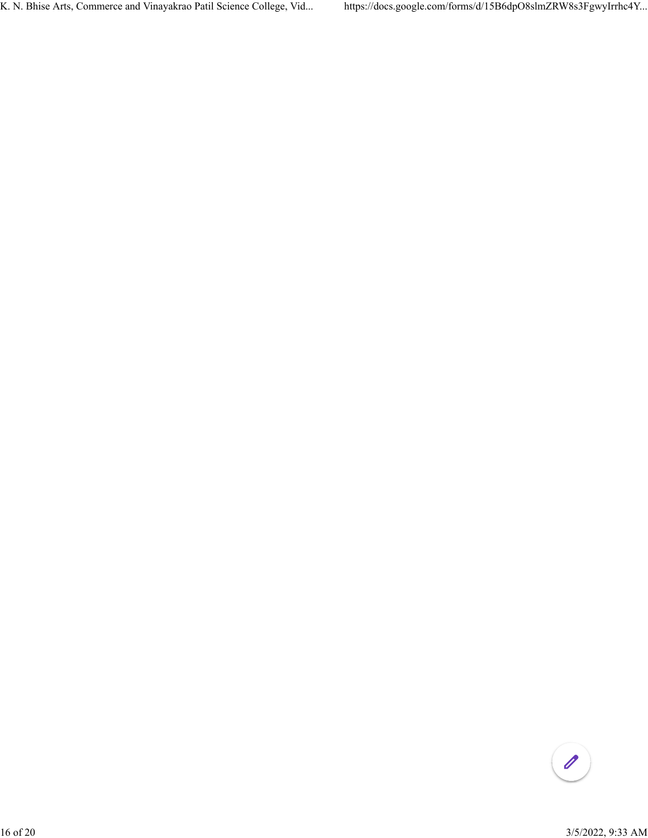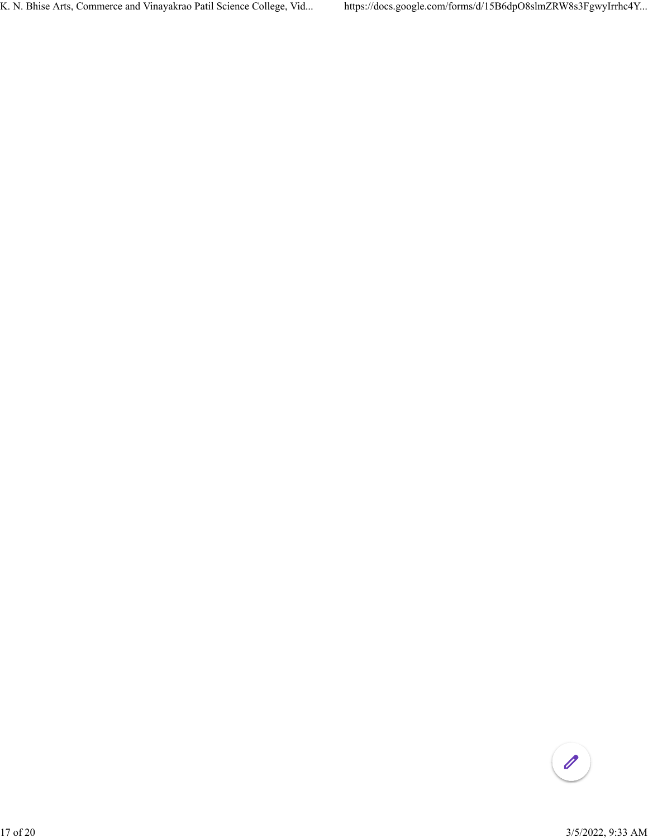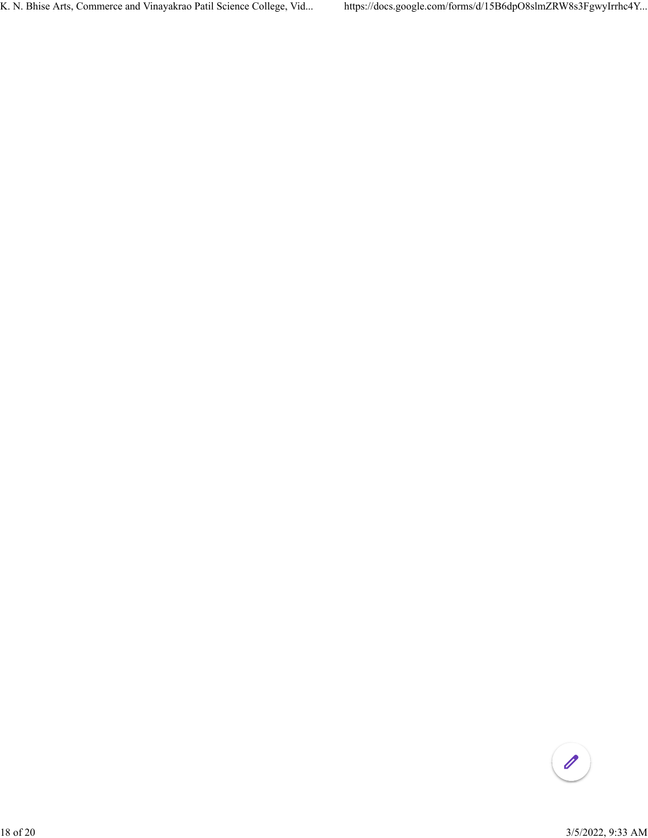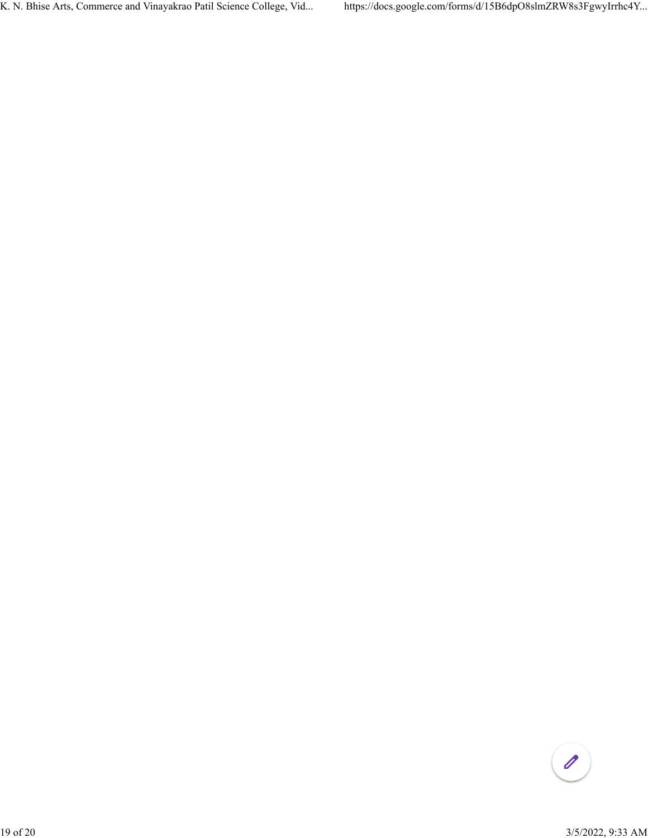